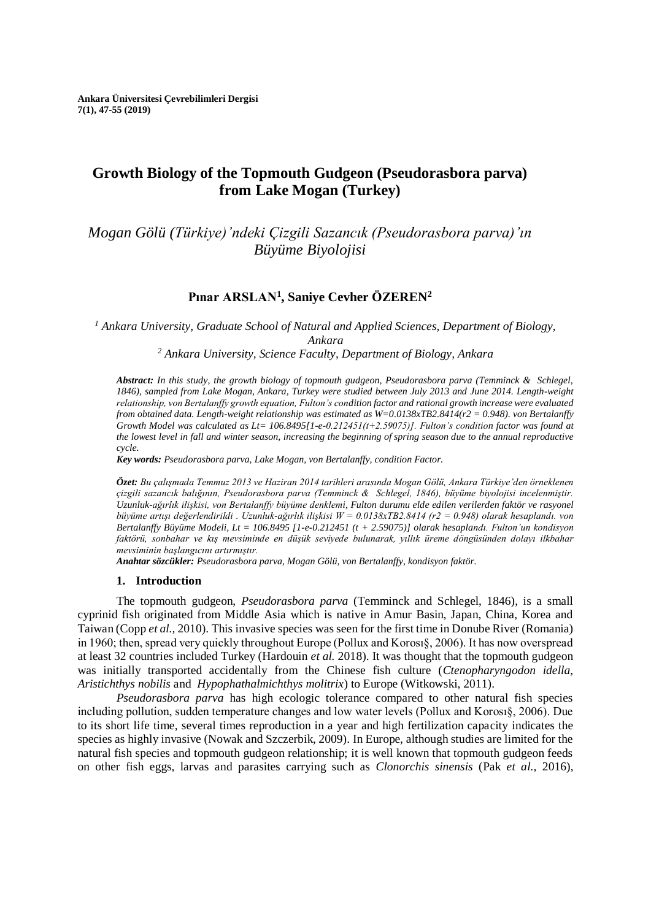# **Growth Biology of the Topmouth Gudgeon (Pseudorasbora parva) from Lake Mogan (Turkey)**

*Mogan Gölü (Türkiye)'ndeki Çizgili Sazancık (Pseudorasbora parva)'ın Büyüme Biyolojisi* 

## **Pınar ARSLAN<sup>1</sup> , Saniye Cevher ÖZEREN<sup>2</sup>**

*<sup>1</sup> Ankara University, Graduate School of Natural and Applied Sciences, Department of Biology, Ankara*

*<sup>2</sup> Ankara University, Science Faculty, Department of Biology, Ankara*

*Abstract: In this study, the growth biology of topmouth gudgeon, Pseudorasbora parva (Temminck & Schlegel, 1846), sampled from Lake Mogan, Ankara, Turkey were studied between July 2013 and June 2014. Length-weight relationship, von Bertalanffy growth equation, Fulton's condition factor and rational growth increase were evaluated from obtained data. Length-weight relationship was estimated as W=0.0138xTB2.8414(r2 = 0.948). von Bertalanffy Growth Model was calculated as Lt= 106.8495[1-e-0.212451(t+2.59075)]. Fulton's condition factor was found at the lowest level in fall and winter season, increasing the beginning of spring season due to the annual reproductive cycle.*

*Key words: Pseudorasbora parva, Lake Mogan, von Bertalanffy, condition Factor.* 

*Özet: Bu çalışmada Temmuz 2013 ve Haziran 2014 tarihleri arasında Mogan Gölü, Ankara Türkiye'den örneklenen çizgili sazancık balığının, Pseudorasbora parva (Temminck & Schlegel, 1846), büyüme biyolojisi incelenmiştir. Uzunluk-ağırlık ilişkisi, von Bertalanffy büyüme denklemi, Fulton durumu elde edilen verilerden faktör ve rasyonel büyüme artışı değerlendirildi . Uzunluk-ağırlık ilişkisi W = 0.0138xTB2.8414 (r2 = 0.948) olarak hesaplandı. von Bertalanffy Büyüme Modeli, Lt = 106.8495 [1-e-0.212451 (t + 2.59075)] olarak hesaplandı. Fulton'un kondisyon faktörü, sonbahar ve kış mevsiminde en düşük seviyede bulunarak, yıllık üreme döngüsünden dolayı ilkbahar mevsiminin başlangıcını artırmıştır.*

*Anahtar sözcükler: Pseudorasbora parva, Mogan Gölü, von Bertalanffy, kondisyon faktör.*

#### **1. Introduction**

The topmouth gudgeon, *Pseudorasbora parva* (Temminck and Schlegel, 1846), is a small cyprinid fish originated from Middle Asia which is native in Amur Basin, Japan, China, Korea and Taiwan (Copp *et al.,* 2010). This invasive species was seen for the first time in Donube River (Romania) in 1960; then, spread very quickly throughout Europe (Pollux and Korosı§, 2006). It has now overspread at least 32 countries included Turkey (Hardouin *et al.* 2018). It was thought that the topmouth gudgeon was initially transported accidentally from the Chinese fish culture (*Ctenopharyngodon idella*, *Aristichthys nobilis* and *Hypophathalmichthys molitrix*) to Europe (Witkowski, 2011).

*Pseudorasbora parva* has high ecologic tolerance compared to other natural fish species including pollution, sudden temperature changes and low water levels (Pollux and Korosı§, 2006). Due to its short life time, several times reproduction in a year and high fertilization capacity indicates the species as highly invasive (Nowak and Szczerbik, 2009). In Europe, although studies are limited for the natural fish species and topmouth gudgeon relationship; it is well known that topmouth gudgeon feeds on other fish eggs, larvas and parasites carrying such as *Clonorchis sinensis* (Pak *et al.,* 2016),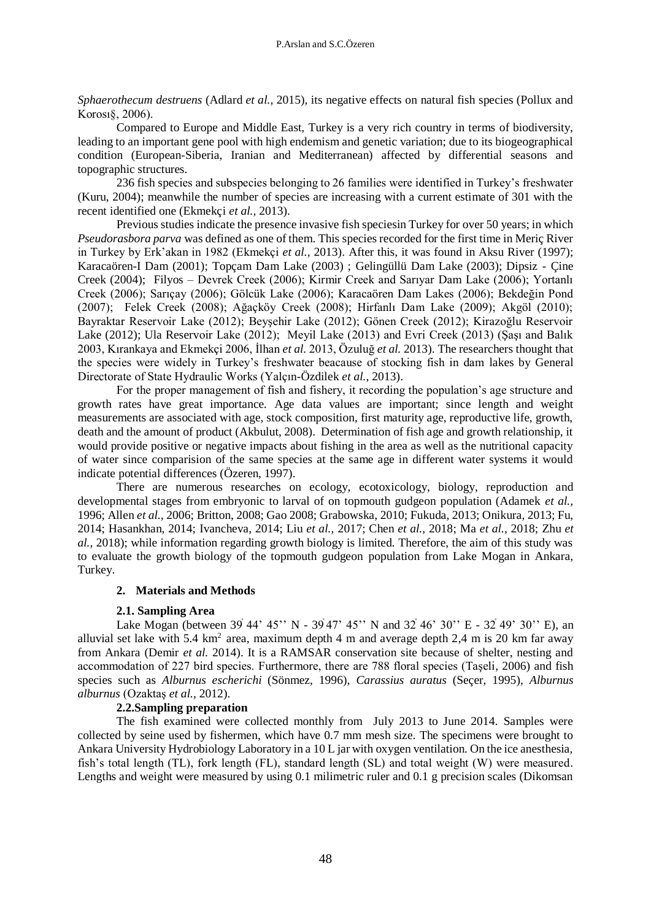*Sphaerothecum destruens* (Adlard *et al.,* 2015), its negative effects on natural fish species (Pollux and Korosı§, 2006).

Compared to Europe and Middle East, Turkey is a very rich country in terms of biodiversity, leading to an important gene pool with high endemism and genetic variation; due to its biogeographical condition (European-Siberia, Iranian and Mediterranean) affected by differential seasons and topographic structures.

236 fish species and subspecies belonging to 26 families were identified in Turkey's freshwater (Kuru, 2004); meanwhile the number of species are increasing with a current estimate of 301 with the recent identified one (Ekmekçi *et al.,* 2013).

Previous studies indicate the presence invasive fish speciesin Turkey for over 50 years; in which *Pseudorasbora parva* was defined as one of them. This species recorded for the first time in Meriç River in Turkey by Erk'akan in 1982 (Ekmekçi *et al.,* 2013). After this, it was found in Aksu River (1997); Karacaören-I Dam (2001); Topçam Dam Lake (2003) ; Gelingüllü Dam Lake (2003); Dipsiz - Çine Creek (2004); Filyos – Devrek Creek (2006); Kirmir Creek and Sarıyar Dam Lake (2006); Yortanlı Creek (2006); Sarıçay (2006); Gölcük Lake (2006); Karacaören Dam Lakes (2006); Bekdeğin Pond (2007); Felek Creek (2008); Ağaçköy Creek (2008); Hirfanlı Dam Lake (2009); Akgöl (2010); Bayraktar Reservoir Lake (2012); Beyşehir Lake (2012); Gönen Creek (2012); Kirazoğlu Reservoir Lake (2012); Ula Reservoir Lake (2012); Meyil Lake (2013) and Evri Creek (2013) (Şaşı and Balık 2003, Kırankaya and Ekmekçi 2006, İlhan *et al.* 2013, Özuluğ *et al.* 2013). The researchers thought that the species were widely in Turkey's freshwater beacause of stocking fish in dam lakes by General Directorate of State Hydraulic Works (Yalçın-Özdilek *et al.,* 2013).

For the proper management of fish and fishery, it recording the population's age structure and growth rates have great importance. Age data values are important; since length and weight measurements are associated with age, stock composition, first maturity age, reproductive life, growth, death and the amount of product (Akbulut, 2008). Determination of fish age and growth relationship, it would provide positive or negative impacts about fishing in the area as well as the nutritional capacity of water since comparision of the same species at the same age in different water systems it would indicate potential differences (Özeren, 1997).

There are numerous researches on ecology, ecotoxicology, biology, reproduction and developmental stages from embryonic to larval of on topmouth gudgeon population (Adamek *et al.,* 1996; Allen *et al.,* 2006; Britton, 2008; Gao 2008; Grabowska, 2010; Fukuda, 2013; Onikura, 2013; Fu, 2014; Hasankhan, 2014; Ivancheva, 2014; Liu *et al.,* 2017; Chen *et al.,* 2018; Ma *et al.,* 2018; Zhu *et al.,* 2018); while information regarding growth biology is limited. Therefore, the aim of this study was to evaluate the growth biology of the topmouth gudgeon population from Lake Mogan in Ankara, Turkey.

### **2. Materials and Methods**

### **2.1. Sampling Area**

Lake Mogan (between 39 44' 45'' N - 39 47' 45'' N and 32 46' 30'' E - 32 49' 30'' E), an alluvial set lake with 5.4 km<sup>2</sup> area, maximum depth 4 m and average depth 2,4 m is 20 km far away from Ankara (Demir *et al.* 2014). It is a RAMSAR conservation site because of shelter, nesting and accommodation of 227 bird species. Furthermore, there are 788 floral species (Taşeli, 2006) and fish species such as *Alburnus escherichi* (Sönmez, 1996), *Carassius auratus* (Seçer, 1995), *Alburnus alburnus* (Ozaktaş *et al.,* 2012).

### **2.2.Sampling preparation**

The fish examined were collected monthly from July 2013 to June 2014. Samples were collected by seine used by fishermen, which have 0.7 mm mesh size. The specimens were brought to Ankara University Hydrobiology Laboratory in a 10 L jar with oxygen ventilation. On the ice anesthesia, fish's total length (TL), fork length (FL), standard length (SL) and total weight (W) were measured. Lengths and weight were measured by using 0.1 milimetric ruler and 0.1 g precision scales (Dikomsan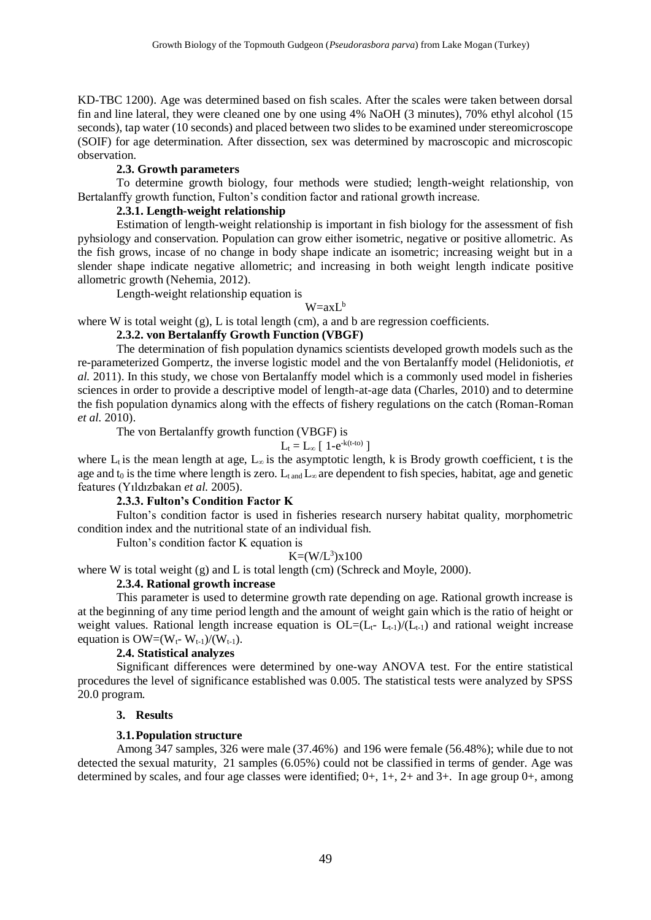KD-TBC 1200). Age was determined based on fish scales. After the scales were taken between dorsal fin and line lateral, they were cleaned one by one using 4% NaOH (3 minutes), 70% ethyl alcohol (15 seconds), tap water (10 seconds) and placed between two slides to be examined under stereomicroscope (SOIF) for age determination. After dissection, sex was determined by macroscopic and microscopic observation.

#### **2.3. Growth parameters**

To determine growth biology, four methods were studied; length-weight relationship, von Bertalanffy growth function, Fulton's condition factor and rational growth increase.

### **2.3.1. Length-weight relationship**

Estimation of length-weight relationship is important in fish biology for the assessment of fish pyhsiology and conservation. Population can grow either isometric, negative or positive allometric. As the fish grows, incase of no change in body shape indicate an isometric; increasing weight but in a slender shape indicate negative allometric; and increasing in both weight length indicate positive allometric growth (Nehemia, 2012).

Length-weight relationship equation is

### $W=axL^b$

where W is total weight  $(g)$ , L is total length (cm), a and b are regression coefficients.

### **2.3.2. von Bertalanffy Growth Function (VBGF)**

The determination of fish population dynamics scientists developed growth models such as the re-parameterized Gompertz, the inverse logistic model and the von Bertalanffy model (Helidoniotis, *et al.* 2011). In this study, we chose von Bertalanffy model which is a commonly used model in fisheries sciences in order to provide a descriptive model of length-at-age data (Charles, 2010) and to determine the fish population dynamics along with the effects of fishery regulations on the catch (Roman-Roman *et al.* 2010).

The von Bertalanffy growth function (VBGF) is

$$
L_t = L_\infty \; [\; 1\text{-}e^{\text{-}k(t\text{-}to)} \;]
$$

where  $L_t$  is the mean length at age,  $L_\infty$  is the asymptotic length, k is Brody growth coefficient, t is the age and  $t_0$  is the time where length is zero. L<sub>t and</sub> L<sub>∞</sub> are dependent to fish species, habitat, age and genetic features (Yıldızbakan *et al.* 2005).

### **2.3.3. Fulton's Condition Factor K**

Fulton's condition factor is used in fisheries research nursery habitat quality, morphometric condition index and the nutritional state of an individual fish.

Fulton's condition factor K equation is

### $K=(W/L^3)x100$

where W is total weight  $(g)$  and L is total length  $(cm)$  (Schreck and Moyle, 2000).

#### **2.3.4. Rational growth increase**

This parameter is used to determine growth rate depending on age. Rational growth increase is at the beginning of any time period length and the amount of weight gain which is the ratio of height or weight values. Rational length increase equation is  $OL=(L_{t-} L_{t-1})/(L_{t-1})$  and rational weight increase equation is  $OW=(W_t-W_{t-1})/(W_{t-1})$ .

### **2.4. Statistical analyzes**

Significant differences were determined by one-way ANOVA test. For the entire statistical procedures the level of significance established was 0.005. The statistical tests were analyzed by SPSS 20.0 program.

### **3. Results**

### **3.1.Population structure**

Among 347 samples, 326 were male (37.46%) and 196 were female (56.48%); while due to not detected the sexual maturity, 21 samples (6.05%) could not be classified in terms of gender. Age was determined by scales, and four age classes were identified; 0+, 1+, 2+ and 3+. In age group 0+, among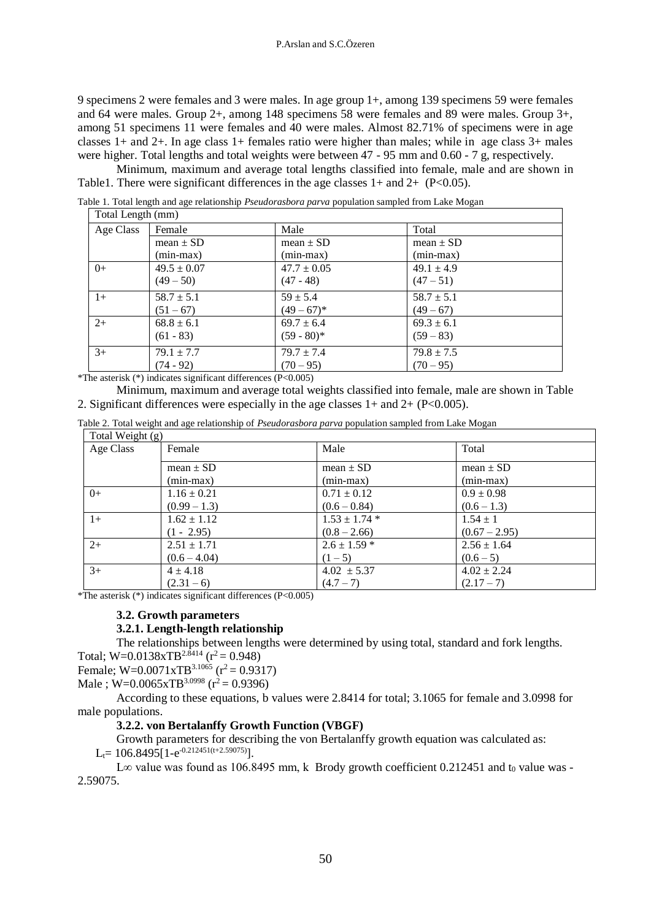9 specimens 2 were females and 3 were males. In age group 1+, among 139 specimens 59 were females and 64 were males. Group 2+, among 148 specimens 58 were females and 89 were males. Group 3+, among 51 specimens 11 were females and 40 were males. Almost 82.71% of specimens were in age classes 1+ and 2+. In age class 1+ females ratio were higher than males; while in age class 3+ males were higher. Total lengths and total weights were between 47 - 95 mm and 0.60 - 7 g, respectively.

Minimum, maximum and average total lengths classified into female, male and are shown in Table1. There were significant differences in the age classes  $1+$  and  $2+$  (P<0.05).

Table 1. Total length and age relationship *Pseudorasbora parva* population sampled from Lake Mogan

| Total Length (mm) |                 |                 |                |  |  |  |  |
|-------------------|-----------------|-----------------|----------------|--|--|--|--|
| Age Class         | Female          | Male            | Total          |  |  |  |  |
|                   | mean $\pm$ SD   | mean $\pm$ SD   | mean $\pm$ SD  |  |  |  |  |
|                   | $(min-max)$     | $(min-max)$     | (min-max)      |  |  |  |  |
| $0+$              | $49.5 \pm 0.07$ | $47.7 \pm 0.05$ | $49.1 \pm 4.9$ |  |  |  |  |
|                   | $(49-50)$       | $(47 - 48)$     | $(47-51)$      |  |  |  |  |
| $1+$              | $58.7 \pm 5.1$  | $59 \pm 5.4$    | $58.7 \pm 5.1$ |  |  |  |  |
|                   | $(51 - 67)$     | $(49-67)^*$     | $(49 - 67)$    |  |  |  |  |
| $2+$              | $68.8 \pm 6.1$  | $69.7 \pm 6.4$  | $69.3 \pm 6.1$ |  |  |  |  |
|                   | $(61 - 83)$     | $(59 - 80)^*$   | $(59 - 83)$    |  |  |  |  |
| $3+$              | $79.1 \pm 7.7$  | $79.7 \pm 7.4$  | $79.8 \pm 7.5$ |  |  |  |  |
|                   | $(74 - 92)$     | $(70 - 95)$     | $(70 - 95)$    |  |  |  |  |

\*The asterisk (\*) indicates significant differences (P<0.005)

Minimum, maximum and average total weights classified into female, male are shown in Table 2. Significant differences were especially in the age classes  $1+$  and  $2+$  (P<0.005).

| Total Weight (g) |                 |                   |                 |  |  |  |
|------------------|-----------------|-------------------|-----------------|--|--|--|
| Age Class        | Female          | Male              | Total           |  |  |  |
|                  | mean $\pm$ SD   | $mean \pm SD$     | $mean \pm SD$   |  |  |  |
|                  | $(min-max)$     | $(min-max)$       | $(min-max)$     |  |  |  |
| $0+$             | $1.16 \pm 0.21$ | $0.71 \pm 0.12$   | $0.9 \pm 0.98$  |  |  |  |
|                  | $(0.99 - 1.3)$  | $(0.6 - 0.84)$    | $(0.6 - 1.3)$   |  |  |  |
| $1+$             | $1.62 \pm 1.12$ | $1.53 \pm 1.74$ * | $1.54 \pm 1$    |  |  |  |
|                  | $(1 - 2.95)$    | $(0.8 - 2.66)$    | $(0.67 - 2.95)$ |  |  |  |
| $2+$             | $2.51 \pm 1.71$ | $2.6 \pm 1.59$ *  | $2.56 \pm 1.64$ |  |  |  |
|                  | $(0.6 - 4.04)$  | $(1-5)$           | $(0.6 - 5)$     |  |  |  |
| $3+$             | $4 \pm 4.18$    | $4.02 \pm 5.37$   | $4.02 \pm 2.24$ |  |  |  |
|                  | $(2.31-6)$      | $(4.7 - 7)$       | $(2.17-7)$      |  |  |  |

\*The asterisk (\*) indicates significant differences (P<0.005)

# **3.2. Growth parameters**

# **3.2.1. Length-length relationship**

The relationships between lengths were determined by using total, standard and fork lengths. Total;  $W=0.0138xTB^{2.\bar{8}414}$  ( $r^2=0.948$ )

Female;  $W=0.0071xTB^{3.1065}$  ( $r^2=0.9317$ )

Male ; W=0.0065xTB<sup>3.0998</sup> ( $r^2$  = 0.9396)

According to these equations, b values were 2.8414 for total; 3.1065 for female and 3.0998 for male populations.

# **3.2.2. von Bertalanffy Growth Function (VBGF)**

Growth parameters for describing the von Bertalanffy growth equation was calculated as:  $L_t$  = 106.8495[1-e<sup>-0.212451(t+2.59075)</sup>].

L∞ value was found as 106.8495 mm, k Brody growth coefficient 0.212451 and  $t_0$  value was -2.59075.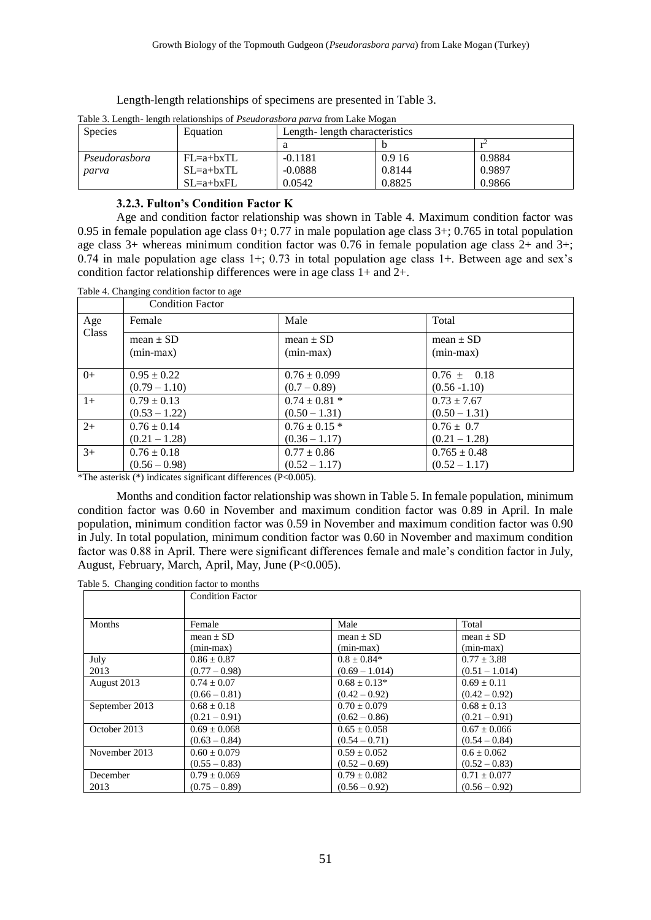Length-length relationships of specimens are presented in Table 3.

| <b>Species</b> | Equation    | Length-length characteristics |        |        |  |  |
|----------------|-------------|-------------------------------|--------|--------|--|--|
|                |             |                               |        |        |  |  |
| Pseudorasbora  | $FL=a+bxTL$ | $-0.1181$                     | 0.916  | 0.9884 |  |  |
| parva          | $SL=a+bxTL$ | $-0.0888$                     | 0.8144 | 0.9897 |  |  |
|                | $SL=a+bxFL$ | 0.0542                        | 0.8825 | 0.9866 |  |  |

Table 3. Length- length relationships of *Pseudorasbora parva* from Lake Mogan

#### **3.2.3. Fulton's Condition Factor K**

Age and condition factor relationship was shown in Table 4. Maximum condition factor was 0.95 in female population age class 0+; 0.77 in male population age class 3+; 0.765 in total population age class 3+ whereas minimum condition factor was 0.76 in female population age class 2+ and 3+; 0.74 in male population age class 1+; 0.73 in total population age class 1+. Between age and sex's condition factor relationship differences were in age class 1+ and 2+.

Table 4. Changing condition factor to age

|       | <b>Condition Factor</b> |                   |                  |
|-------|-------------------------|-------------------|------------------|
| Age   | Female                  | Male              | Total            |
| Class | mean $\pm$ SD           | mean $\pm$ SD     | mean $\pm$ SD    |
|       | $(min-max)$             | $(min-max)$       | $(min-max)$      |
| $0+$  | $0.95 \pm 0.22$         | $0.76 \pm 0.099$  | $0.76 \pm 0.18$  |
|       | $(0.79 - 1.10)$         | $(0.7 - 0.89)$    | $(0.56 - 1.10)$  |
| $1+$  | $0.79 \pm 0.13$         | $0.74 \pm 0.81$ * | $0.73 \pm 7.67$  |
|       | $(0.53 - 1.22)$         | $(0.50 - 1.31)$   | $(0.50 - 1.31)$  |
| $2+$  | $0.76 \pm 0.14$         | $0.76 \pm 0.15$ * | $0.76 \pm 0.7$   |
|       | $(0.21 - 1.28)$         | $(0.36 - 1.17)$   | $(0.21 - 1.28)$  |
| $3+$  | $0.76 \pm 0.18$         | $0.77 \pm 0.86$   | $0.765 \pm 0.48$ |
|       | $(0.56 - 0.98)$         | $(0.52 - 1.17)$   | $(0.52 - 1.17)$  |

\*The asterisk (\*) indicates significant differences (P<0.005).

Months and condition factor relationship was shown in Table 5. In female population, minimum condition factor was 0.60 in November and maximum condition factor was 0.89 in April. In male population, minimum condition factor was 0.59 in November and maximum condition factor was 0.90 in July. In total population, minimum condition factor was 0.60 in November and maximum condition factor was 0.88 in April. There were significant differences female and male's condition factor in July, August, February, March, April, May, June (P<0.005).

| Table 5. Changing condition factor to months |  |  |
|----------------------------------------------|--|--|
|                                              |  |  |

|                | <b>Condition Factor</b> |                  |                  |
|----------------|-------------------------|------------------|------------------|
| Months         | Female                  | Male             | Total            |
|                | mean $\pm$ SD           | mean $\pm$ SD    | mean $\pm$ SD    |
|                | $(min-max)$             | $(min-max)$      | $(min-max)$      |
| July           | $0.86 \pm 0.87$         | $0.8 \pm 0.84*$  | $0.77 \pm 3.88$  |
| 2013           | $(0.77 - 0.98)$         | $(0.69 - 1.014)$ | $(0.51 - 1.014)$ |
| August 2013    | $0.74 \pm 0.07$         | $0.68 \pm 0.13*$ | $0.69 \pm 0.11$  |
|                | $(0.66 - 0.81)$         | $(0.42 - 0.92)$  | $(0.42 - 0.92)$  |
| September 2013 | $0.68 \pm 0.18$         | $0.70 \pm 0.079$ | $0.68 \pm 0.13$  |
|                | $(0.21 - 0.91)$         | $(0.62 - 0.86)$  | $(0.21 - 0.91)$  |
| October 2013   | $0.69 \pm 0.068$        | $0.65 \pm 0.058$ | $0.67 \pm 0.066$ |
|                | $(0.63 - 0.84)$         | $(0.54 - 0.71)$  | $(0.54 - 0.84)$  |
| November 2013  | $0.60 \pm 0.079$        | $0.59 \pm 0.052$ | $0.6 \pm 0.062$  |
|                | $(0.55 - 0.83)$         | $(0.52 - 0.69)$  | $(0.52 - 0.83)$  |
| December       | $0.79 \pm 0.069$        | $0.79 \pm 0.082$ | $0.71 \pm 0.077$ |
| 2013           | $(0.75 - 0.89)$         | $(0.56 - 0.92)$  | $(0.56 - 0.92)$  |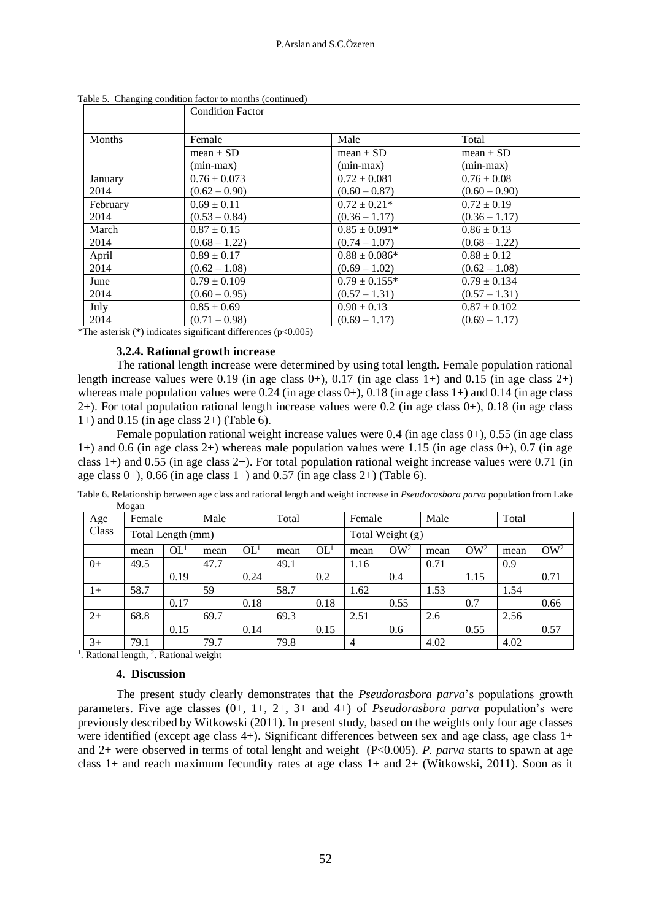|          | <b>Condition Factor</b> |                   |                  |
|----------|-------------------------|-------------------|------------------|
| Months   | Female                  | Male              | Total            |
|          | mean $\pm$ SD           | mean $\pm$ SD     | mean $\pm$ SD    |
|          | $(min-max)$             | $(min-max)$       | $(min-max)$      |
| January  | $0.76 \pm 0.073$        | $0.72 \pm 0.081$  | $0.76 \pm 0.08$  |
| 2014     | $(0.62 - 0.90)$         | $(0.60 - 0.87)$   | $(0.60 - 0.90)$  |
| February | $0.69 \pm 0.11$         | $0.72 \pm 0.21*$  | $0.72 \pm 0.19$  |
| 2014     | $(0.53 - 0.84)$         | $(0.36 - 1.17)$   | $(0.36 - 1.17)$  |
| March    | $0.87 \pm 0.15$         | $0.85 \pm 0.091*$ | $0.86 \pm 0.13$  |
| 2014     | $(0.68 - 1.22)$         | $(0.74 - 1.07)$   | $(0.68 - 1.22)$  |
| April    | $0.89 \pm 0.17$         | $0.88 \pm 0.086*$ | $0.88 \pm 0.12$  |
| 2014     | $(0.62 - 1.08)$         | $(0.69 - 1.02)$   | $(0.62 - 1.08)$  |
| June     | $0.79 \pm 0.109$        | $0.79 \pm 0.155*$ | $0.79 \pm 0.134$ |
| 2014     | $(0.60 - 0.95)$         | $(0.57 - 1.31)$   | $(0.57 - 1.31)$  |
| July     | $0.85 \pm 0.69$         | $0.90 \pm 0.13$   | $0.87 \pm 0.102$ |
| 2014     | $(0.71 - 0.98)$         | $(0.69 - 1.17)$   | $(0.69 - 1.17)$  |

Table 5. Changing condition factor to months (continued)

\*The asterisk  $(*)$  indicates significant differences  $(p<0.005)$ 

### **3.2.4. Rational growth increase**

The rational length increase were determined by using total length. Female population rational length increase values were 0.19 (in age class  $0+$ ), 0.17 (in age class  $1+$ ) and 0.15 (in age class  $2+$ ) whereas male population values were  $0.24$  (in age class  $0+$ ),  $0.18$  (in age class  $1+$ ) and  $0.14$  (in age class 2+). For total population rational length increase values were 0.2 (in age class 0+), 0.18 (in age class  $1+$ ) and 0.15 (in age class  $2+$ ) (Table 6).

Female population rational weight increase values were 0.4 (in age class 0+), 0.55 (in age class 1+) and 0.6 (in age class 2+) whereas male population values were 1.15 (in age class 0+), 0.7 (in age class 1+) and 0.55 (in age class 2+). For total population rational weight increase values were 0.71 (in age class  $0+$ ), 0.66 (in age class  $1+$ ) and 0.57 (in age class  $2+$ ) (Table 6).

Table 6. Relationship between age class and rational length and weight increase in *Pseudorasbora parva* population from Lake Mogan

| Age   | Female            |                 | Male |                 | Total |                  | Female |            | Male |                 | Total |        |
|-------|-------------------|-----------------|------|-----------------|-------|------------------|--------|------------|------|-----------------|-------|--------|
| Class | Total Length (mm) |                 |      |                 |       | Total Weight (g) |        |            |      |                 |       |        |
|       | mean              | OL <sup>1</sup> | mean | OL <sup>1</sup> | mean  | OL <sup>1</sup>  | mean   | $\rm OW^2$ | mean | OW <sup>2</sup> | mean  | $OW^2$ |
| $0+$  | 49.5              |                 | 47.7 |                 | 49.1  |                  | 1.16   |            | 0.71 |                 | 0.9   |        |
|       |                   | 0.19            |      | 0.24            |       | 0.2              |        | 0.4        |      | 1.15            |       | 0.71   |
| $1+$  | 58.7              |                 | 59   |                 | 58.7  |                  | 1.62   |            | 1.53 |                 | 1.54  |        |
|       |                   | 0.17            |      | 0.18            |       | 0.18             |        | 0.55       |      | 0.7             |       | 0.66   |
| $2+$  | 68.8              |                 | 69.7 |                 | 69.3  |                  | 2.51   |            | 2.6  |                 | 2.56  |        |
|       |                   | 0.15            |      | 0.14            |       | 0.15             |        | 0.6        |      | 0.55            |       | 0.57   |
| $3+$  | 79.1              |                 | 79.7 |                 | 79.8  |                  | 4      |            | 4.02 |                 | 4.02  |        |

<sup>1</sup>. Rational length, <sup>2</sup>. Rational weight

#### **4. Discussion**

The present study clearly demonstrates that the *Pseudorasbora parva*'s populations growth parameters. Five age classes (0+, 1+, 2+, 3+ and 4+) of *Pseudorasbora parva* population's were previously described by Witkowski (2011). In present study, based on the weights only four age classes were identified (except age class 4+). Significant differences between sex and age class, age class 1+ and 2+ were observed in terms of total lenght and weight (P<0.005). *P. parva* starts to spawn at age class 1+ and reach maximum fecundity rates at age class 1+ and 2+ (Witkowski, 2011). Soon as it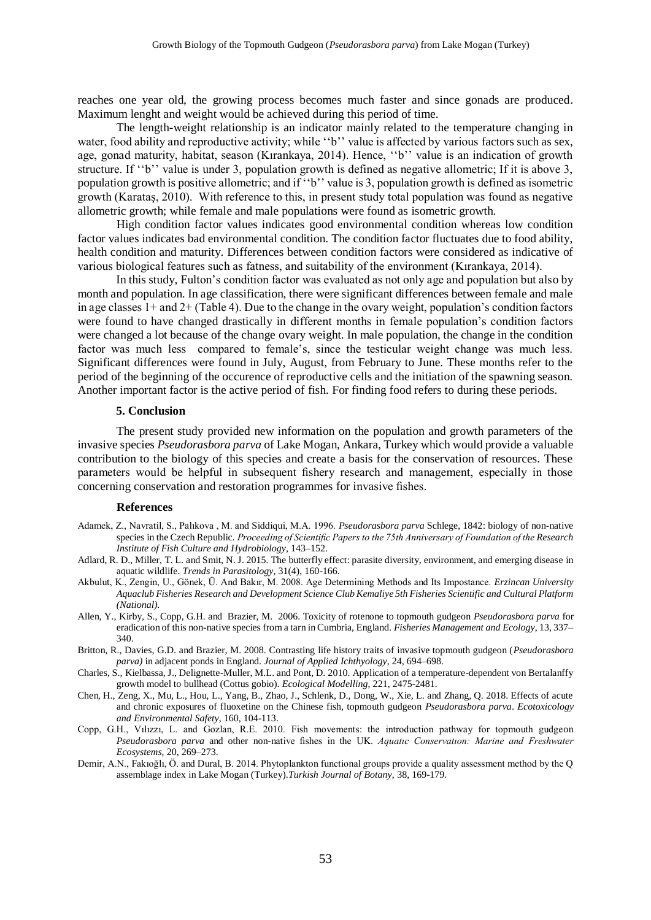reaches one year old, the growing process becomes much faster and since gonads are produced. Maximum lenght and weight would be achieved during this period of time.

The length-weight relationship is an indicator mainly related to the temperature changing in water, food ability and reproductive activity; while "b" value is affected by various factors such as sex, age, gonad maturity, habitat, season (Kırankaya, 2014). Hence, ''b'' value is an indication of growth structure. If "b" value is under 3, population growth is defined as negative allometric; If it is above 3, population growth is positive allometric; and if ''b'' value is 3, population growth is defined as isometric growth (Karataş, 2010). With reference to this, in present study total population was found as negative allometric growth; while female and male populations were found as isometric growth.

High condition factor values indicates good environmental condition whereas low condition factor values indicates bad environmental condition. The condition factor fluctuates due to food ability, health condition and maturity. Differences between condition factors were considered as indicative of various biological features such as fatness, and suitability of the environment (Kırankaya, 2014).

In this study, Fulton's condition factor was evaluated as not only age and population but also by month and population. In age classification, there were significant differences between female and male in age classes 1+ and 2+ (Table 4). Due to the change in the ovary weight, population's condition factors were found to have changed drastically in different months in female population's condition factors were changed a lot because of the change ovary weight. In male population, the change in the condition factor was much less compared to female's, since the testicular weight change was much less. Significant differences were found in July, August, from February to June. These months refer to the period of the beginning of the occurence of reproductive cells and the initiation of the spawning season. Another important factor is the active period of fish. For finding food refers to during these periods.

#### **5. Conclusion**

The present study provided new information on the population and growth parameters of the invasive species *Pseudorasbora parva* of Lake Mogan, Ankara, Turkey which would provide a valuable contribution to the biology of this species and create a basis for the conservation of resources. These parameters would be helpful in subsequent fishery research and management, especially in those concerning conservation and restoration programmes for invasive fishes.

#### **References**

- Adamek, Z., Navratil, S., Palıkova , M. and Siddiqui, M.A. 1996. *Pseudorasbora parva* Schlege, 1842: biology of non-native species in the Czech Republic. *Proceeding of Scientific Papers to the 75th Anniversary of Foundation of the Research Institute of Fish Culture and Hydrobiology*, 143–152.
- Adlard, R. D., Miller, T. L. and Smit, N. J. 2015. The butterfly effect: parasite diversity, environment, and emerging disease in aquatic wildlife. *Trends in Parasitology*, 31(4), 160-166.
- Akbulut, K., Zengin, U., Gönek, Ü. And Bakır, M. 2008. Age Determining Methods and Its Impostance. *Erzincan University Aquaclub Fisheries Research and Development Science Club Kemaliye 5th Fisheries Scientific and Cultural Platform (National).*
- Allen, Y., Kirby, S., Copp, G.H. and Brazier, M. 2006. Toxicity of rotenone to topmouth gudgeon *Pseudorasbora parva* for eradication of this non-native species from a tarn in Cumbria, England. *Fisheries Management and Ecology*, 13, 337– 340.
- Britton, R., Davies, G.D. and Brazier, M. 2008. Contrasting life history traits of invasive topmouth gudgeon (*Pseudorasbora parva)* in adjacent ponds in England. *Journal of Applied Ichthyology*, 24, 694–698.
- Charles, S., Kielbassa, J., Delignette-Muller, M.L. and Pont, D. 2010. Application of a temperature-dependent von Bertalanffy growth model to bullhead (Cottus gobio). *Ecological Modelling*, 221, 2475-2481.
- Chen, H., Zeng, X., Mu, L., Hou, L., Yang, B., Zhao, J., Schlenk, D., Dong, W., Xie, L. and Zhang, Q. 2018. Effects of acute and chronic exposures of fluoxetine on the Chinese fish, topmouth gudgeon *Pseudorasbora parva*. *Ecotoxicology and Environmental Safety*, 160, 104-113.
- Copp, G.H., Vılızzı, L. and Gozlan, R.E. 2010. Fish movements: the introduction pathway for topmouth gudgeon *Pseudorasbora parva* and other non-native fishes in the UK. *Aquatıc Conservatıon: Marine and Freshwater Ecosystems*, 20, 269–273.
- Demir, A.N., Fakıoğlı, Ö. and Dural, B. 2014. Phytoplankton functional groups provide a quality assessment method by the Q assemblage index in Lake Mogan (Turkey).*Turkish Journal of Botany*, 38, 169-179.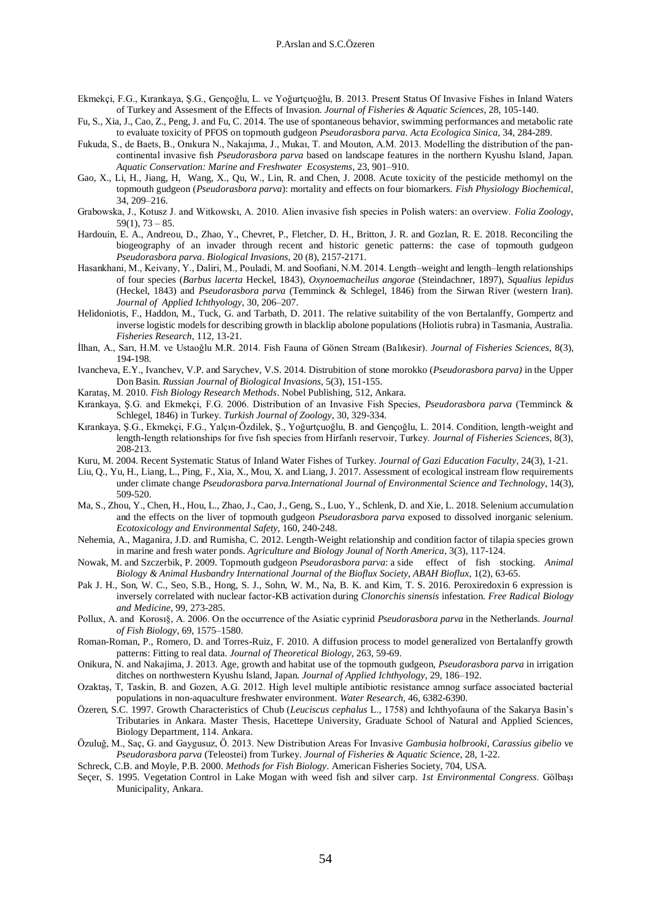- Ekmekçi, F.G., Kırankaya, Ş.G., Gençoğlu, L. ve Yoğurtçuoğlu, B. 2013. Present Status Of Invasive Fishes in Inland Waters of Turkey and Assesment of the Effects of Invasion. *Journal of Fisheries & Aquatic Sciences*, 28, 105-140.
- Fu, S., Xia, J., Cao, Z., Peng, J. and Fu, C. 2014. The use of spontaneous behavior, swimming performances and metabolic rate to evaluate toxicity of PFOS on topmouth gudgeon *Pseudorasbora parva*. *Acta Ecologica Sinica*, 34, 284-289.
- Fukuda, S., de Baets, B., Onıkura N., Nakajıma, J., Mukaı, T. and Mouton, A.M. 2013. Modelling the distribution of the pancontinental invasive fish *Pseudorasbora parva* based on landscape features in the northern Kyushu Island, Japan. *Aquatic Conservation: Marine and Freshwater Ecosystems*, 23, 901–910.
- Gao, X., Li, H., Jiang, H, Wang, X., Qu, W., Lin, R. and Chen, J. 2008. Acute toxicity of the pesticide methomyl on the topmouth gudgeon (*Pseudorasbora parva*): mortality and effects on four biomarkers. *Fish Physiology Biochemical*, 34, 209–216.
- Grabowska, J., Kotusz J. and Witkowskı, A. 2010. Alien invasive fish species in Polish waters: an overview. *Folia Zoology*,  $59(1)$ ,  $73 - 85$ .
- Hardouin, E. A., Andreou, D., Zhao, Y., Chevret, P., Fletcher, D. H., Britton, J. R. and Gozlan, R. E. 2018. Reconciling the biogeography of an invader through recent and historic genetic patterns: the case of topmouth gudgeon *Pseudorasbora parva*. *Biological Invasions*, 20 (8), 2157-2171.
- Hasankhani, M., Keivany, Y., Daliri, M., Pouladi, M. and Soofiani, N.M. 2014. Length–weight and length–length relationships of four species (*Barbus lacerta* Heckel, 1843), *Oxynoemacheilus angorae* (Steindachner, 1897), *Squalius lepidus* (Heckel, 1843) and *Pseudorasbora parva* (Temminck & Schlegel, 1846) from the Sirwan River (western Iran). *Journal of Applied Ichthyology*, 30, 206–207.
- Helidoniotis, F., Haddon, M., Tuck, G. and Tarbath, D. 2011. The relative suitability of the von Bertalanffy, Gompertz and inverse logistic models for describing growth in blacklip abolone populations (Holiotis rubra) in Tasmania, Australia. *Fisheries Research*, 112, 13-21.
- İlhan, A., Sarı, H.M. ve Ustaoğlu M.R. 2014. Fish Fauna of Gönen Stream (Balıkesir). *Journal of Fisheries Sciences*, 8(3), 194-198.
- Ivancheva, E.Y., Ivanchev, V.P. and Sarychev, V.S. 2014. Distrubition of stone morokko (*Pseudorasbora parva)* in the Upper Don Basin. *Russian Journal of Biological Invasions*, 5(3), 151-155.
- Karataş, M. 2010. *Fish Biology Research Methods*. Nobel Publishing, 512, Ankara.
- Kırankaya, Ş.G. and Ekmekçi, F.G. 2006. Distribution of an Invasive Fish Species, *Pseudorasbora parva* (Temminck & Schlegel, 1846) in Turkey. *Turkish Journal of Zoology*, 30, 329-334.
- Kırankaya, Ş.G., Ekmekçi, F.G., Yalçın-Özdilek, Ş., Yoğurtçuoğlu, B. and Gençoğlu, L. 2014. Condition, length-weight and length-length relationships for fıve fısh species from Hirfanlı reservoir, Turkey. *Journal of Fisheries Sciences*, 8(3), 208-213.
- Kuru, M. 2004. Recent Systematic Status of Inland Water Fishes of Turkey. *Journal of Gazi Education Faculty*, 24(3), 1-21.
- Liu, Q., Yu, H., Liang, L., Ping, F., Xia, X., Mou, X. and Liang, J. 2017. Assessment of ecological instream flow requirements under climate change *Pseudorasbora parva.International Journal of Environmental Science and Technology*, 14(3), 509-520.
- Ma, S., Zhou, Y., Chen, H., Hou, L., Zhao, J., Cao, J., Geng, S., Luo, Y., Schlenk, D. and Xie, L. 2018. Selenium accumulation and the effects on the liver of topmouth gudgeon *Pseudorasbora parva* exposed to dissolved inorganic selenium. *Ecotoxicology and Environmental Safety*, 160, 240-248.
- Nehemia, A., Maganira, J.D. and Rumisha, C. 2012. Length-Weight relationship and condition factor of tilapia species grown in marine and fresh water ponds. *Agriculture and Biology Jounal of North America*, 3(3), 117-124.
- Nowak, M. and Szczerbik, P. 2009. Topmouth gudgeon *Pseudorasbora parva*: a side effect of fish stocking. *Animal Biology & Animal Husbandry International Journal of the Bioflux Society*, *ABAH Bioflux*, 1(2), 63-65.
- Pak J. H., Son, W. C., Seo, S.B., Hong, S. J., Sohn, W. M., Na, B. K. and Kim, T. S. 2016. Peroxiredoxin 6 expression is inversely correlated with nuclear factor-KB activation during *Clonorchis sinensis* infestation. *Free Radical Biology and Medicine*, 99, 273-285.
- Pollux, A. and Korosı§, A. 2006. On the occurrence of the Asiatic cyprinid *Pseudorasbora parva* in the Netherlands. *Journal of Fish Biology*, 69, 1575–1580.
- Roman-Roman, P., Romero, D. and Torres-Ruiz, F. 2010. A diffusion process to model generalized von Bertalanffy growth patterns: Fitting to real data. *Journal of Theoretical Biology*, 263, 59-69.
- Onikura, N. and Nakajima, J. 2013. Age, growth and habitat use of the topmouth gudgeon, *Pseudorasbora parva* in irrigation ditches on northwestern Kyushu Island, Japan. *Journal of Applied Ichthyology*, 29, 186–192.
- Ozaktaş, T, Taskin, B. and Gozen, A.G. 2012. High level multiple antibiotic resistance amnog surface associated bacterial populations in non-aquaculture freshwater environment. *Water Research*, 46, 6382-6390.
- Özeren, S.C. 1997. Growth Characteristics of Chub (*Leuciscus cephalus* L., 1758) and Ichthyofauna of the Sakarya Basin's Tributaries in Ankara. Master Thesis, Hacettepe University, Graduate School of Natural and Applied Sciences, Biology Department, 114. Ankara.
- Özuluğ, M., Saç, G. and Gaygusuz, Ö. 2013. New Distribution Areas For Invasive *Gambusia holbrooki*, *Carassius gibelio* ve *Pseudorasbora parva* (Teleostei) from Turkey. *Journal of Fisheries & Aquatic Science*, 28, 1-22.
- Schreck, C.B. and Moyle, P.B. 2000. *Methods for Fish Biology*. American Fisheries Society, 704, USA.
- Seçer, S. 1995. Vegetation Control in Lake Mogan with weed fish and silver carp. *1st Environmental Congress*. Gölbaşı Municipality, Ankara.